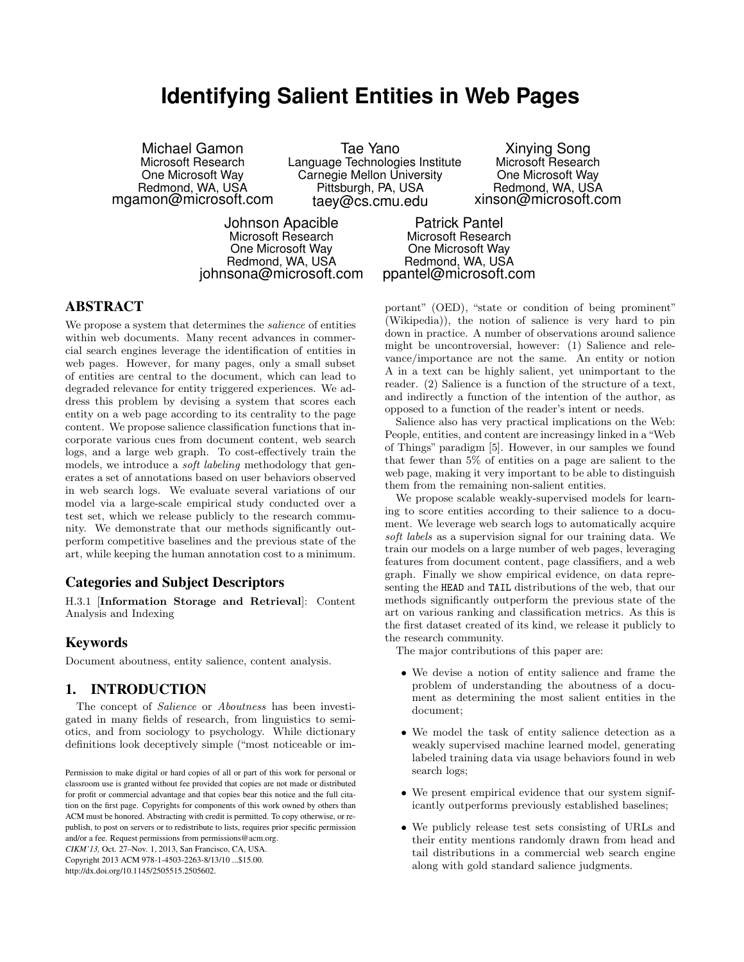# **Identifying Salient Entities in Web Pages**

Michael Gamon Microsoft Research One Microsoft Way Redmond, WA, USA mgamon@microsoft.com

Tae Yano Language Technologies Institute Carnegie Mellon University Pittsburgh, PA, USA taey@cs.cmu.edu

Xinying Song Microsoft Research One Microsoft Way Redmond, WA, USA xinson@microsoft.com

Johnson Apacible Microsoft Research One Microsoft Way Redmond, WA, USA johnsona@microsoft.com

Patrick Pantel Microsoft Research One Microsoft Way Redmond, WA, USA ppantel@microsoft.com

# ABSTRACT

We propose a system that determines the salience of entities within web documents. Many recent advances in commercial search engines leverage the identification of entities in web pages. However, for many pages, only a small subset of entities are central to the document, which can lead to degraded relevance for entity triggered experiences. We address this problem by devising a system that scores each entity on a web page according to its centrality to the page content. We propose salience classification functions that incorporate various cues from document content, web search logs, and a large web graph. To cost-effectively train the models, we introduce a *soft labeling* methodology that generates a set of annotations based on user behaviors observed in web search logs. We evaluate several variations of our model via a large-scale empirical study conducted over a test set, which we release publicly to the research community. We demonstrate that our methods significantly outperform competitive baselines and the previous state of the art, while keeping the human annotation cost to a minimum.

## Categories and Subject Descriptors

H.3.1 [Information Storage and Retrieval]: Content Analysis and Indexing

## Keywords

Document aboutness, entity salience, content analysis.

## 1. INTRODUCTION

The concept of *Salience* or *Aboutness* has been investigated in many fields of research, from linguistics to semiotics, and from sociology to psychology. While dictionary definitions look deceptively simple ("most noticeable or im-

*CIKM'13,* Oct. 27–Nov. 1, 2013, San Francisco, CA, USA. Copyright 2013 ACM 978-1-4503-2263-8/13/10 ...\$15.00. http://dx.doi.org/10.1145/2505515.2505602.

portant" (OED), "state or condition of being prominent" (Wikipedia)), the notion of salience is very hard to pin down in practice. A number of observations around salience might be uncontroversial, however: (1) Salience and relevance/importance are not the same. An entity or notion A in a text can be highly salient, yet unimportant to the reader. (2) Salience is a function of the structure of a text, and indirectly a function of the intention of the author, as opposed to a function of the reader's intent or needs.

Salience also has very practical implications on the Web: People, entities, and content are increasingy linked in a "Web of Things" paradigm [\[5\]](#page-5-0). However, in our samples we found that fewer than 5% of entities on a page are salient to the web page, making it very important to be able to distinguish them from the remaining non-salient entities.

We propose scalable weakly-supervised models for learning to score entities according to their salience to a document. We leverage web search logs to automatically acquire soft labels as a supervision signal for our training data. We train our models on a large number of web pages, leveraging features from document content, page classifiers, and a web graph. Finally we show empirical evidence, on data representing the HEAD and TAIL distributions of the web, that our methods significantly outperform the previous state of the art on various ranking and classification metrics. As this is the first dataset created of its kind, we release it publicly to the research community.

The major contributions of this paper are:

- We devise a notion of entity salience and frame the problem of understanding the aboutness of a document as determining the most salient entities in the document;
- We model the task of entity salience detection as a weakly supervised machine learned model, generating labeled training data via usage behaviors found in web search logs;
- We present empirical evidence that our system significantly outperforms previously established baselines;
- We publicly release test sets consisting of URLs and their entity mentions randomly drawn from head and tail distributions in a commercial web search engine along with gold standard salience judgments.

Permission to make digital or hard copies of all or part of this work for personal or classroom use is granted without fee provided that copies are not made or distributed for profit or commercial advantage and that copies bear this notice and the full citation on the first page. Copyrights for components of this work owned by others than ACM must be honored. Abstracting with credit is permitted. To copy otherwise, or republish, to post on servers or to redistribute to lists, requires prior specific permission and/or a fee. Request permissions from permissions@acm.org.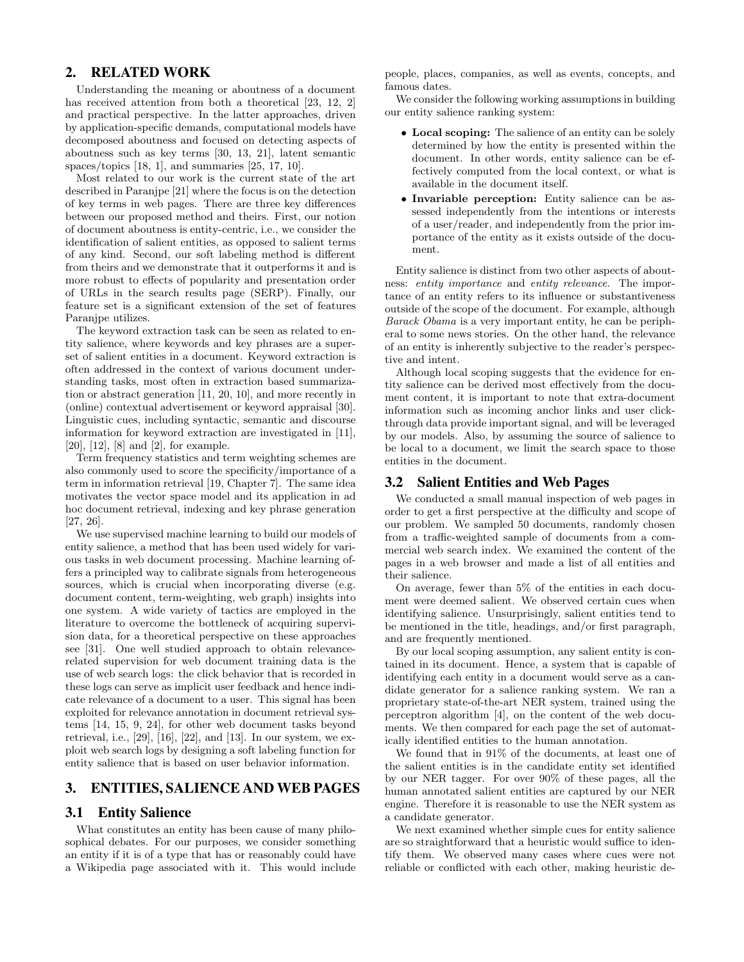# 2. RELATED WORK

Understanding the meaning or aboutness of a document has received attention from both a theoretical [\[23,](#page-5-1) [12,](#page-5-2) [2\]](#page-5-3) and practical perspective. In the latter approaches, driven by application-specific demands, computational models have decomposed aboutness and focused on detecting aspects of aboutness such as key terms [\[30,](#page-5-4) [13,](#page-5-5) [21\]](#page-5-6), latent semantic spaces/topics [\[18,](#page-5-7) [1\]](#page-5-8), and summaries [\[25,](#page-5-9) [17,](#page-5-10) [10\]](#page-5-11).

Most related to our work is the current state of the art described in Paranjpe [\[21\]](#page-5-6) where the focus is on the detection of key terms in web pages. There are three key differences between our proposed method and theirs. First, our notion of document aboutness is entity-centric, i.e., we consider the identification of salient entities, as opposed to salient terms of any kind. Second, our soft labeling method is different from theirs and we demonstrate that it outperforms it and is more robust to effects of popularity and presentation order of URLs in the search results page (SERP). Finally, our feature set is a significant extension of the set of features Paranjpe utilizes.

The keyword extraction task can be seen as related to entity salience, where keywords and key phrases are a superset of salient entities in a document. Keyword extraction is often addressed in the context of various document understanding tasks, most often in extraction based summarization or abstract generation [\[11,](#page-5-12) [20,](#page-5-13) [10\]](#page-5-11), and more recently in (online) contextual advertisement or keyword appraisal [\[30\]](#page-5-4). Linguistic cues, including syntactic, semantic and discourse information for keyword extraction are investigated in [\[11\]](#page-5-12), [\[20\]](#page-5-13), [\[12\]](#page-5-2), [\[8\]](#page-5-14) and [\[2\]](#page-5-3), for example.

Term frequency statistics and term weighting schemes are also commonly used to score the specificity/importance of a term in information retrieval [\[19,](#page-5-15) Chapter 7]. The same idea motivates the vector space model and its application in ad hoc document retrieval, indexing and key phrase generation [\[27,](#page-5-16) [26\]](#page-5-17).

We use supervised machine learning to build our models of entity salience, a method that has been used widely for various tasks in web document processing. Machine learning offers a principled way to calibrate signals from heterogeneous sources, which is crucial when incorporating diverse (e.g. document content, term-weighting, web graph) insights into one system. A wide variety of tactics are employed in the literature to overcome the bottleneck of acquiring supervision data, for a theoretical perspective on these approaches see [\[31\]](#page-5-18). One well studied approach to obtain relevancerelated supervision for web document training data is the use of web search logs: the click behavior that is recorded in these logs can serve as implicit user feedback and hence indicate relevance of a document to a user. This signal has been exploited for relevance annotation in document retrieval systems [\[14,](#page-5-19) [15,](#page-5-20) [9,](#page-5-21) [24\]](#page-5-22), for other web document tasks beyond retrieval, i.e.,  $[29]$ ,  $[16]$ ,  $[22]$ , and  $[13]$ . In our system, we exploit web search logs by designing a soft labeling function for entity salience that is based on user behavior information.

## 3. ENTITIES, SALIENCE AND WEB PAGES

### 3.1 Entity Salience

What constitutes an entity has been cause of many philosophical debates. For our purposes, we consider something an entity if it is of a type that has or reasonably could have a Wikipedia page associated with it. This would include

people, places, companies, as well as events, concepts, and famous dates.

We consider the following working assumptions in building our entity salience ranking system:

- Local scoping: The salience of an entity can be solely determined by how the entity is presented within the document. In other words, entity salience can be effectively computed from the local context, or what is available in the document itself.
- Invariable perception: Entity salience can be assessed independently from the intentions or interests of a user/reader, and independently from the prior importance of the entity as it exists outside of the document.

Entity salience is distinct from two other aspects of aboutness: entity importance and entity relevance. The importance of an entity refers to its influence or substantiveness outside of the scope of the document. For example, although Barack Obama is a very important entity, he can be peripheral to some news stories. On the other hand, the relevance of an entity is inherently subjective to the reader's perspective and intent.

Although local scoping suggests that the evidence for entity salience can be derived most effectively from the document content, it is important to note that extra-document information such as incoming anchor links and user clickthrough data provide important signal, and will be leveraged by our models. Also, by assuming the source of salience to be local to a document, we limit the search space to those entities in the document.

## <span id="page-1-0"></span>3.2 Salient Entities and Web Pages

We conducted a small manual inspection of web pages in order to get a first perspective at the difficulty and scope of our problem. We sampled 50 documents, randomly chosen from a traffic-weighted sample of documents from a commercial web search index. We examined the content of the pages in a web browser and made a list of all entities and their salience.

On average, fewer than 5% of the entities in each document were deemed salient. We observed certain cues when identifying salience. Unsurprisingly, salient entities tend to be mentioned in the title, headings, and/or first paragraph, and are frequently mentioned.

By our local scoping assumption, any salient entity is contained in its document. Hence, a system that is capable of identifying each entity in a document would serve as a candidate generator for a salience ranking system. We ran a proprietary state-of-the-art NER system, trained using the perceptron algorithm [\[4\]](#page-5-26), on the content of the web documents. We then compared for each page the set of automatically identified entities to the human annotation.

We found that in 91% of the documents, at least one of the salient entities is in the candidate entity set identified by our NER tagger. For over 90% of these pages, all the human annotated salient entities are captured by our NER engine. Therefore it is reasonable to use the NER system as a candidate generator.

We next examined whether simple cues for entity salience are so straightforward that a heuristic would suffice to identify them. We observed many cases where cues were not reliable or conflicted with each other, making heuristic de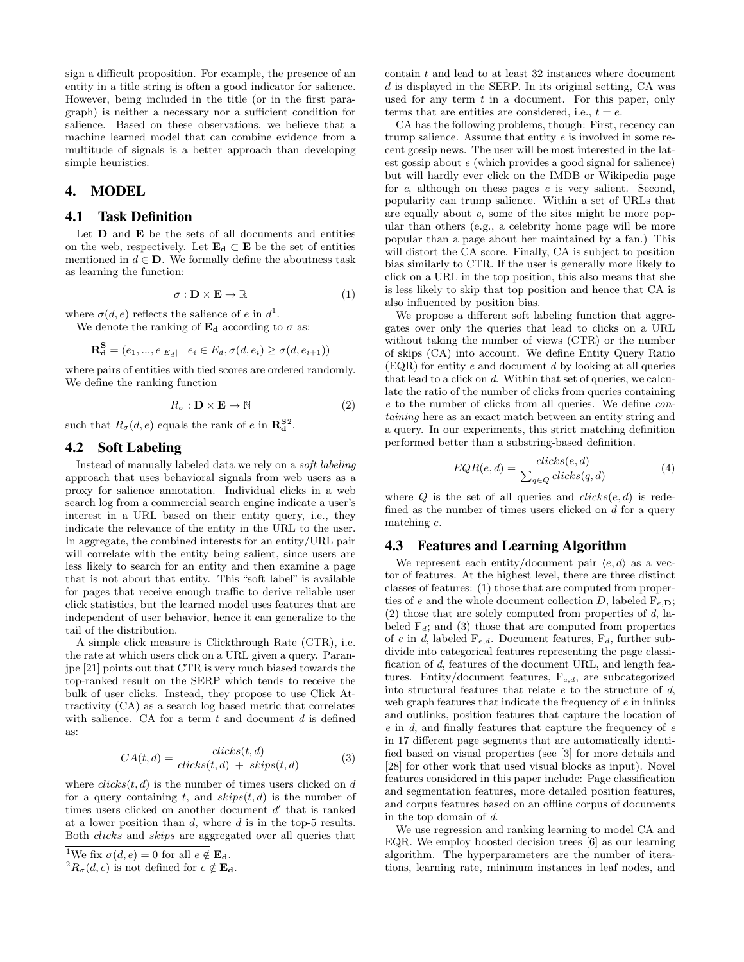sign a difficult proposition. For example, the presence of an entity in a title string is often a good indicator for salience. However, being included in the title (or in the first paragraph) is neither a necessary nor a sufficient condition for salience. Based on these observations, we believe that a machine learned model that can combine evidence from a multitude of signals is a better approach than developing simple heuristics.

### 4. MODEL

#### 4.1 Task Definition

Let  $D$  and  $E$  be the sets of all documents and entities on the web, respectively. Let  $\mathbf{E}_{d} \subset \mathbf{E}$  be the set of entities mentioned in  $d \in \mathbf{D}$ . We formally define the aboutness task as learning the function:

$$
\sigma : \mathbf{D} \times \mathbf{E} \to \mathbb{R} \tag{1}
$$

where  $\sigma(d, e)$  reflects the salience of e in  $d^1$  $d^1$ .

We denote the ranking of  $\mathbf{E}_{d}$  according to  $\sigma$  as:

$$
\mathbf{R}_{\mathbf{d}}^{\mathbf{S}} = (e_1, ..., e_{|E_d|} | e_i \in E_d, \sigma(d, e_i) \ge \sigma(d, e_{i+1}))
$$

where pairs of entities with tied scores are ordered randomly. We define the ranking function

<span id="page-2-2"></span>
$$
R_{\sigma} : \mathbf{D} \times \mathbf{E} \to \mathbb{N} \tag{2}
$$

such that  $R_{\sigma}(d, e)$  equals the rank of e in  $\mathbb{R}^{S^2}_{d}$  $\mathbb{R}^{S^2}_{d}$  $\mathbb{R}^{S^2}_{d}$ .

## 4.2 Soft Labeling

Instead of manually labeled data we rely on a soft labeling approach that uses behavioral signals from web users as a proxy for salience annotation. Individual clicks in a web search log from a commercial search engine indicate a user's interest in a URL based on their entity query, i.e., they indicate the relevance of the entity in the URL to the user. In aggregate, the combined interests for an entity/URL pair will correlate with the entity being salient, since users are less likely to search for an entity and then examine a page that is not about that entity. This "soft label" is available for pages that receive enough traffic to derive reliable user click statistics, but the learned model uses features that are independent of user behavior, hence it can generalize to the tail of the distribution.

A simple click measure is Clickthrough Rate (CTR), i.e. the rate at which users click on a URL given a query. Paranjpe [\[21\]](#page-5-6) points out that CTR is very much biased towards the top-ranked result on the SERP which tends to receive the bulk of user clicks. Instead, they propose to use Click Attractivity (CA) as a search log based metric that correlates with salience. CA for a term  $t$  and document  $d$  is defined as:

$$
CA(t,d) = \frac{clicks(t,d)}{clicks(t,d) + skips(t,d)}\tag{3}
$$

where  $clicks(t, d)$  is the number of times users clicked on d for a query containing t, and  $skips(t, d)$  is the number of times users clicked on another document  $d'$  that is ranked at a lower position than  $d$ , where  $d$  is in the top-5 results. Both clicks and skips are aggregated over all queries that

contain t and lead to at least 32 instances where document  $d$  is displayed in the SERP. In its original setting, CA was used for any term  $t$  in a document. For this paper, only terms that are entities are considered, i.e.,  $t = e$ .

CA has the following problems, though: First, recency can trump salience. Assume that entity e is involved in some recent gossip news. The user will be most interested in the latest gossip about e (which provides a good signal for salience) but will hardly ever click on the IMDB or Wikipedia page for e, although on these pages e is very salient. Second, popularity can trump salience. Within a set of URLs that are equally about e, some of the sites might be more popular than others (e.g., a celebrity home page will be more popular than a page about her maintained by a fan.) This will distort the CA score. Finally, CA is subject to position bias similarly to CTR. If the user is generally more likely to click on a URL in the top position, this also means that she is less likely to skip that top position and hence that CA is also influenced by position bias.

We propose a different soft labeling function that aggregates over only the queries that lead to clicks on a URL without taking the number of views (CTR) or the number of skips (CA) into account. We define Entity Query Ratio  $(EQR)$  for entity e and document d by looking at all queries that lead to a click on d. Within that set of queries, we calculate the ratio of the number of clicks from queries containing e to the number of clicks from all queries. We define containing here as an exact match between an entity string and a query. In our experiments, this strict matching definition performed better than a substring-based definition.

$$
EQR(e,d) = \frac{clicks(e,d)}{\sum_{q \in Q}clicks(q,d)} \tag{4}
$$

where Q is the set of all queries and  $clicks(e, d)$  is redefined as the number of times users clicked on  $d$  for a query matching e.

## <span id="page-2-3"></span>4.3 Features and Learning Algorithm

We represent each entity/document pair  $\langle e, d \rangle$  as a vector of features. At the highest level, there are three distinct classes of features: (1) those that are computed from properties of e and the whole document collection D, labeled  $F_{e,D}$ ;  $(2)$  those that are solely computed from properties of  $d$ , labeled  $F_d$ ; and (3) those that are computed from properties of e in d, labeled  $F_{e,d}$ . Document features,  $F_d$ , further subdivide into categorical features representing the page classification of d, features of the document URL, and length features. Entity/document features,  $F_{e,d}$ , are subcategorized into structural features that relate  $e$  to the structure of  $d$ , web graph features that indicate the frequency of e in inlinks and outlinks, position features that capture the location of e in d, and finally features that capture the frequency of e in 17 different page segments that are automatically identified based on visual properties (see [\[3\]](#page-5-27) for more details and [\[28\]](#page-5-28) for other work that used visual blocks as input). Novel features considered in this paper include: Page classification and segmentation features, more detailed position features, and corpus features based on an offline corpus of documents in the top domain of d.

We use regression and ranking learning to model CA and EQR. We employ boosted decision trees [\[6\]](#page-5-29) as our learning algorithm. The hyperparameters are the number of iterations, learning rate, minimum instances in leaf nodes, and

<span id="page-2-0"></span><sup>&</sup>lt;sup>1</sup>We fix  $\sigma(d, e) = 0$  for all  $e \notin \mathbf{E_d}$ .

<span id="page-2-1"></span> ${}^{2}R_{\sigma}(d, e)$  is not defined for  $e \notin \mathbf{E}_{\mathbf{d}}$ .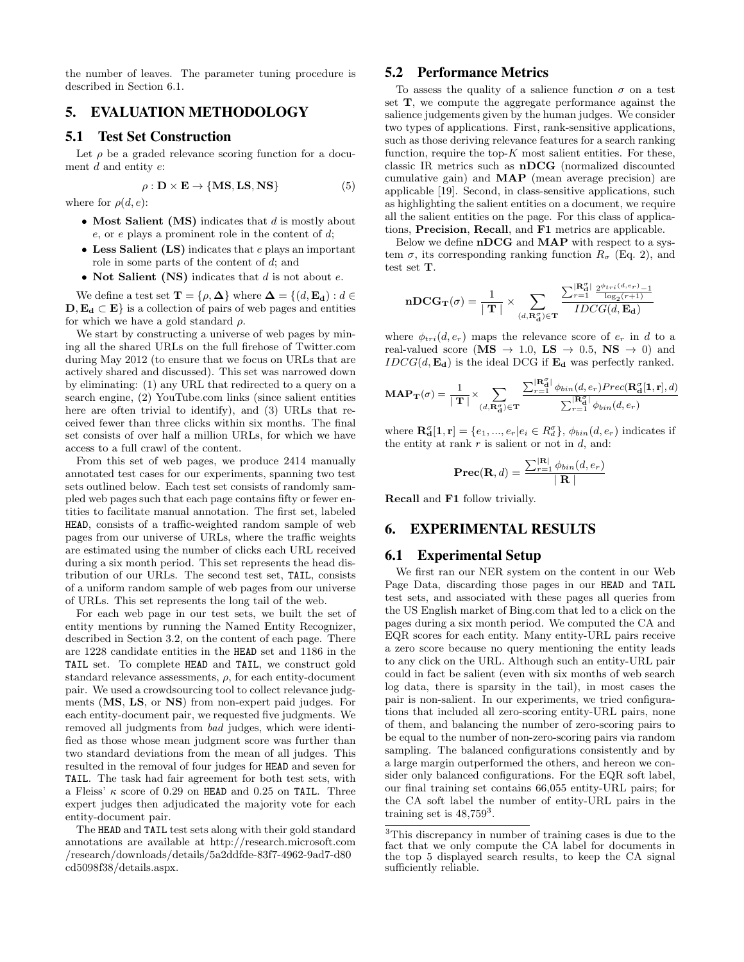the number of leaves. The parameter tuning procedure is described in Section [6.1.](#page-3-0)

# 5. EVALUATION METHODOLOGY

## 5.1 Test Set Construction

Let  $\rho$  be a graded relevance scoring function for a document  $d$  and entity  $e$ :

$$
\rho : \mathbf{D} \times \mathbf{E} \to \{ \mathbf{MS}, \mathbf{LS}, \mathbf{NS} \}
$$
 (5)

where for  $\rho(d, e)$ :

- Most Salient (MS) indicates that  $d$  is mostly about  $e$ , or  $e$  plays a prominent role in the content of  $d$ ;
- Less Salient (LS) indicates that e plays an important role in some parts of the content of d; and
- Not Salient (NS) indicates that  $d$  is not about  $e$ .

We define a test set  $\mathbf{T} = \{\rho, \mathbf{\Delta}\}\$  where  $\mathbf{\Delta} = \{(d, \mathbf{E}_{\mathbf{d}}): d \in$  $\mathbf{D}, \mathbf{E}_{\mathbf{d}} \subset \mathbf{E}$  is a collection of pairs of web pages and entities for which we have a gold standard  $\rho$ .

We start by constructing a universe of web pages by mining all the shared URLs on the full firehose of Twitter.com during May 2012 (to ensure that we focus on URLs that are actively shared and discussed). This set was narrowed down by eliminating: (1) any URL that redirected to a query on a search engine, (2) YouTube.com links (since salient entities here are often trivial to identify), and (3) URLs that received fewer than three clicks within six months. The final set consists of over half a million URLs, for which we have access to a full crawl of the content.

From this set of web pages, we produce 2414 manually annotated test cases for our experiments, spanning two test sets outlined below. Each test set consists of randomly sampled web pages such that each page contains fifty or fewer entities to facilitate manual annotation. The first set, labeled HEAD, consists of a traffic-weighted random sample of web pages from our universe of URLs, where the traffic weights are estimated using the number of clicks each URL received during a six month period. This set represents the head distribution of our URLs. The second test set, TAIL, consists of a uniform random sample of web pages from our universe of URLs. This set represents the long tail of the web.

For each web page in our test sets, we built the set of entity mentions by running the Named Entity Recognizer, described in Section [3.2,](#page-1-0) on the content of each page. There are 1228 candidate entities in the HEAD set and 1186 in the TAIL set. To complete HEAD and TAIL, we construct gold standard relevance assessments,  $\rho$ , for each entity-document pair. We used a crowdsourcing tool to collect relevance judgments (MS, LS, or NS) from non-expert paid judges. For each entity-document pair, we requested five judgments. We removed all judgments from bad judges, which were identified as those whose mean judgment score was further than two standard deviations from the mean of all judges. This resulted in the removal of four judges for HEAD and seven for TAIL. The task had fair agreement for both test sets, with a Fleiss'  $\kappa$  score of 0.29 on HEAD and 0.25 on TAIL. Three expert judges then adjudicated the majority vote for each entity-document pair.

## 5.2 Performance Metrics

To assess the quality of a salience function  $\sigma$  on a test set T, we compute the aggregate performance against the salience judgements given by the human judges. We consider two types of applications. First, rank-sensitive applications, such as those deriving relevance features for a search ranking function, require the top- $K$  most salient entities. For these, classic IR metrics such as nDCG (normalized discounted cumulative gain) and MAP (mean average precision) are applicable [\[19\]](#page-5-15). Second, in class-sensitive applications, such as highlighting the salient entities on a document, we require all the salient entities on the page. For this class of applications, Precision, Recall, and F1 metrics are applicable.

Below we define  $nDCG$  and  $MAP$  with respect to a system  $\sigma$ , its corresponding ranking function  $R_{\sigma}$  (Eq. [2\)](#page-2-2), and test set T.

$$
\mathbf{nDCG_T}(\sigma) = \frac{1}{\mid \mathbf{T} \mid} \times \sum_{(d,\mathbf{R_d^{\sigma}}) \in \mathbf{T}} \frac{\sum_{r=1}^{\mid \mathbf{R_d^{\sigma}} \mid} \frac{2^{\phi_{tri}(d,e_r)} - 1}{\log_2(r+1)}}{IDCG(d,\mathbf{E_d})}
$$

where  $\phi_{tri}(d, e_r)$  maps the relevance score of  $e_r$  in d to a real-valued score (MS  $\rightarrow$  1.0, LS  $\rightarrow$  0.5, NS  $\rightarrow$  0) and  $IDCG(d, \mathbf{E}_d)$  is the ideal DCG if  $\mathbf{E}_d$  was perfectly ranked.

$$
\textbf{MAP}_{\textbf{T}}(\sigma) = \frac{1}{\mid \textbf{T} \mid} \times \sum_{(d, \textbf{R}_{\textbf{d}}^{\sigma}) \in \textbf{T}} \frac{\sum_{r=1}^{|\textbf{R}_{\textbf{d}}^{\sigma}|} \phi_{bin}(d, e_r) \textit{Prec}(\textbf{R}_{\textbf{d}}^{\sigma}[1, \textbf{r}], d)}{\sum_{r=1}^{|\textbf{R}_{\textbf{d}}^{\sigma}|} \phi_{bin}(d, e_r)}
$$

where  $\mathbf{R}_{\mathbf{d}}^{\sigma}[\mathbf{1}, \mathbf{r}] = \{e_1, ..., e_r | e_i \in R_d^{\sigma}\}, \phi_{bin}(d, e_r)$  indicates if the entity at rank  $r$  is salient or not in  $d$ , and:

$$
\mathbf{Prec}(\mathbf{R}, d) = \frac{\sum_{r=1}^{|\mathbf{R}|} \phi_{bin}(d, e_r)}{|\mathbf{R}|}
$$

Recall and F1 follow trivially.

#### 6. EXPERIMENTAL RESULTS

#### <span id="page-3-0"></span>6.1 Experimental Setup

We first ran our NER system on the content in our Web Page Data, discarding those pages in our HEAD and TAIL test sets, and associated with these pages all queries from the US English market of Bing.com that led to a click on the pages during a six month period. We computed the CA and EQR scores for each entity. Many entity-URL pairs receive a zero score because no query mentioning the entity leads to any click on the URL. Although such an entity-URL pair could in fact be salient (even with six months of web search log data, there is sparsity in the tail), in most cases the pair is non-salient. In our experiments, we tried configurations that included all zero-scoring entity-URL pairs, none of them, and balancing the number of zero-scoring pairs to be equal to the number of non-zero-scoring pairs via random sampling. The balanced configurations consistently and by a large margin outperformed the others, and hereon we consider only balanced configurations. For the EQR soft label, our final training set contains 66,055 entity-URL pairs; for the CA soft label the number of entity-URL pairs in the training set is  $48,759^3$  $48,759^3$ .

The HEAD and TAIL test sets along with their gold standard annotations are available at http://research.microsoft.com /research/downloads/details/5a2ddfde-83f7-4962-9ad7-d80 cd5098f38/details.aspx.

<span id="page-3-1"></span><sup>3</sup>This discrepancy in number of training cases is due to the fact that we only compute the CA label for documents in the top 5 displayed search results, to keep the CA signal sufficiently reliable.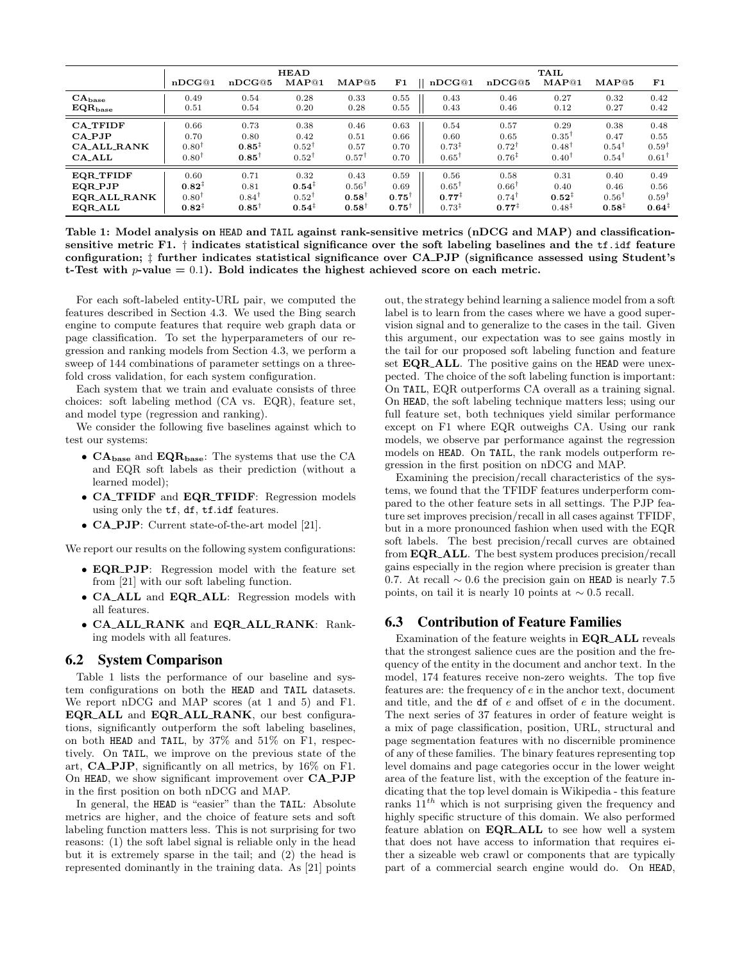|                    | nDCG@1            | nDCG@5            | <b>HEAD</b><br>MAP@1 | MAP@5            | F1               | nDCG@1            | nDCG@5            | TAIL<br>MAP@1     | MAP@5             | F1                |
|--------------------|-------------------|-------------------|----------------------|------------------|------------------|-------------------|-------------------|-------------------|-------------------|-------------------|
| $CA_{base}$        | 0.49              | 0.54              | 0.28                 | 0.33             | 0.55             | 0.43              | 0.46              | 0.27              | 0.32              | 0.42              |
| $EQR_{base}$       | 0.51              | 0.54              | 0.20                 | 0.28             | 0.55             | 0.43              | 0.46              | 0.12              | 0.27              | 0.42              |
| <b>CA TFIDF</b>    | 0.66              | 0.73              | 0.38                 | 0.46             | 0.63             | 0.54              | 0.57              | 0.29              | 0.38              | 0.48              |
| $CA$ -PJP          | 0.70              | 0.80              | 0.42                 | 0.51             | 0.66             | 0.60              | 0.65              | $0.35^{\dagger}$  | 0.47              | 0.55              |
| <b>CA_ALL_RANK</b> | $0.80^{\dagger}$  | $0.85^{\ddagger}$ | $0.52^{\dagger}$     | 0.57             | 0.70             | $0.73^{\ddagger}$ | $0.72^{\dagger}$  | $0.48^{\dagger}$  | $0.54^{\dagger}$  | $0.59^{\dagger}$  |
| $CA$ ALL           | $0.80^{\dagger}$  | $0.85^{\dagger}$  | $0.52^{\dagger}$     | $0.57^{\dagger}$ | 0.70             | $0.65^{\dagger}$  | $0.76^{\ddagger}$ | $0.40^{\dagger}$  | $0.54^{\dagger}$  | $0.61^{\dagger}$  |
| <b>EQR_TFIDF</b>   | 0.60              | 0.71              | 0.32                 | 0.43             | 0.59             | 0.56              | 0.58              | 0.31              | 0.40              | 0.49              |
| <b>EQR_PJP</b>     | $0.82^{\ddagger}$ | 0.81              | $0.54^{\ddagger}$    | $0.56^{\dagger}$ | 0.69             | $0.65^{\dagger}$  | $0.66^{\dagger}$  | 0.40              | 0.46              | 0.56              |
| EQR_ALL_RANK       | $0.80^{\dagger}$  | $0.84^{\dagger}$  | $0.52^{\dagger}$     | $0.58^{\dagger}$ | $0.75^{\dagger}$ | $0.77^{+}$        | $0.74^{\dagger}$  | $0.52^{1}$        | $0.56^{\dagger}$  | $0.59^{\dagger}$  |
| <b>EQR_ALL</b>     | $0.82^{\ddagger}$ | $0.85^{\dagger}$  | $0.54^{\ddagger}$    | $0.58^{\dagger}$ | $0.75^{\dagger}$ | $0.73^{\ddagger}$ | $0.77^{\ddagger}$ | $0.48^{\ddagger}$ | $0.58^{\ddagger}$ | $0.64^{\ddagger}$ |

<span id="page-4-0"></span>Table 1: Model analysis on HEAD and TAIL against rank-sensitive metrics (nDCG and MAP) and classificationsensitive metric F1. † indicates statistical significance over the soft labeling baselines and the tf.idf feature configuration; ‡ further indicates statistical significance over CA PJP (significance assessed using Student's t-Test with  $p$ -value = 0.1). Bold indicates the highest achieved score on each metric.

For each soft-labeled entity-URL pair, we computed the features described in Section [4.3.](#page-2-3) We used the Bing search engine to compute features that require web graph data or page classification. To set the hyperparameters of our regression and ranking models from Section [4.3,](#page-2-3) we perform a sweep of 144 combinations of parameter settings on a threefold cross validation, for each system configuration.

Each system that we train and evaluate consists of three choices: soft labeling method (CA vs. EQR), feature set, and model type (regression and ranking).

We consider the following five baselines against which to test our systems:

- $\bullet$   $\bf CA_{base}$  and  $\bf EQR_{base}$  : The systems that use the CA and EQR soft labels as their prediction (without a learned model);
- CA\_TFIDF and EQR\_TFIDF: Regression models using only the tf, df, tf.idf features.
- CA PJP: Current state-of-the-art model [\[21\]](#page-5-6).

We report our results on the following system configurations:

- EQR\_PJP: Regression model with the feature set from [\[21\]](#page-5-6) with our soft labeling function.
- CA\_ALL and EQR\_ALL: Regression models with all features.
- CA ALL RANK and EQR ALL RANK: Ranking models with all features.

#### 6.2 System Comparison

Table [1](#page-4-0) lists the performance of our baseline and system configurations on both the HEAD and TAIL datasets. We report nDCG and MAP scores (at 1 and 5) and F1. EQR ALL and EQR ALL RANK, our best configurations, significantly outperform the soft labeling baselines, on both HEAD and TAIL, by 37% and 51% on F1, respectively. On TAIL, we improve on the previous state of the art, CA PJP, significantly on all metrics, by 16% on F1. On HEAD, we show significant improvement over CA PJP in the first position on both nDCG and MAP.

In general, the HEAD is "easier" than the TAIL: Absolute metrics are higher, and the choice of feature sets and soft labeling function matters less. This is not surprising for two reasons: (1) the soft label signal is reliable only in the head but it is extremely sparse in the tail; and (2) the head is represented dominantly in the training data. As [\[21\]](#page-5-6) points out, the strategy behind learning a salience model from a soft label is to learn from the cases where we have a good supervision signal and to generalize to the cases in the tail. Given this argument, our expectation was to see gains mostly in the tail for our proposed soft labeling function and feature set **EQR\_ALL**. The positive gains on the **HEAD** were unexpected. The choice of the soft labeling function is important: On TAIL, EQR outperforms CA overall as a training signal. On HEAD, the soft labeling technique matters less; using our full feature set, both techniques yield similar performance except on F1 where EQR outweighs CA. Using our rank models, we observe par performance against the regression models on HEAD. On TAIL, the rank models outperform regression in the first position on nDCG and MAP.

Examining the precision/recall characteristics of the systems, we found that the TFIDF features underperform compared to the other feature sets in all settings. The PJP feature set improves precision/recall in all cases against TFIDF, but in a more pronounced fashion when used with the EQR soft labels. The best precision/recall curves are obtained from **EQR\_ALL**. The best system produces precision/recall gains especially in the region where precision is greater than 0.7. At recall  $\sim 0.6$  the precision gain on HEAD is nearly 7.5 points, on tail it is nearly 10 points at  $\sim 0.5$  recall.

## 6.3 Contribution of Feature Families

Examination of the feature weights in EQR ALL reveals that the strongest salience cues are the position and the frequency of the entity in the document and anchor text. In the model, 174 features receive non-zero weights. The top five features are: the frequency of e in the anchor text, document and title, and the df of e and offset of e in the document. The next series of 37 features in order of feature weight is a mix of page classification, position, URL, structural and page segmentation features with no discernible prominence of any of these families. The binary features representing top level domains and page categories occur in the lower weight area of the feature list, with the exception of the feature indicating that the top level domain is Wikipedia - this feature ranks  $11^{th}$  which is not surprising given the frequency and highly specific structure of this domain. We also performed feature ablation on EQR ALL to see how well a system that does not have access to information that requires either a sizeable web crawl or components that are typically part of a commercial search engine would do. On HEAD,